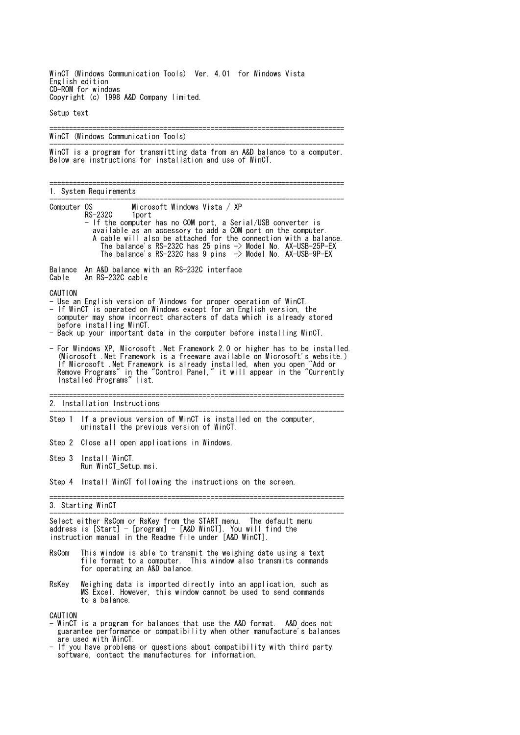WinCT (Windows Communication Tools) Ver. 4.01 for Windows Vista English edition CD-ROM for windows Copyright (c) 1998 A&D Company limited.

Setup text

=========================================================================== WinCT (Windows Communication Tools) --------------------------------------------------------------------------- WinCT is a program for transmitting data from an A&D balance to a computer. Below are instructions for installation and use of WinCT. =========================================================================== 1. System Requirements --------------------------------------------------------------------------- Computer OS Microsoft Windows Vista / XP<br>RS-232C 1port RS-232C - If the computer has no COM port, a Serial/USB converter is available as an accessory to add a COM port on the computer. A cable will also be attached for the connection with a balance. The balance's RS-232C has 25 pins -> Model No. AX-USB-25P-EX The balance's RS-232C has 9 pins -> Model No. AX-USB-9P-EX Balance An A&D balance with an RS-232C interface Cable An RS-232C cable CAUTION - Use an English version of Windows for proper operation of WinCT. - If WinCT is operated on Windows except for an English version, the computer may show incorrect characters of data which is already stored before installing WinCT. - Back up your important data in the computer before installing WinCT. - For Windows XP, Microsoft .Net Framework 2.0 or higher has to be installed. (Microsoft .Net Framework is a freeware available on Microsoft's website.) If Microsoft .Net Framework is already installed, when you open "Add or Remove Programs" in the "Control Panel," it will appear in the "Currently Installed Programs" list. =========================================================================== 2. Installation Instructions --------------------------------------------------------------------------- Step 1 If a previous version of WinCT is installed on the computer, uninstall the previous version of WinCT. Step 2 Close all open applications in Windows. Step 3 Install WinCT. Run WinCT\_Setup.msi. Step 4 Install WinCT following the instructions on the screen. =========================================================================== 3. Starting WinCT --------------------------------------------------------------------------- Select either RsCom or RsKey from the START menu. The default menu address is [Start] - [program] - [A&D WinCT]. You will find the instruction manual in the Readme file under [A&D WinCT]. RsCom This window is able to transmit the weighing date using a text file format to a computer. This window also transmits commands for operating an A&D balance. RsKey Weighing data is imported directly into an application, such as MS Excel. However, this window cannot be used to send commands to a balance. CAUTION

- WinCT is a program for balances that use the A&D format. A&D does not guarantee performance or compatibility when other manufacture's balances are used with WinCT.
- If you have problems or questions about compatibility with third party software, contact the manufactures for information.